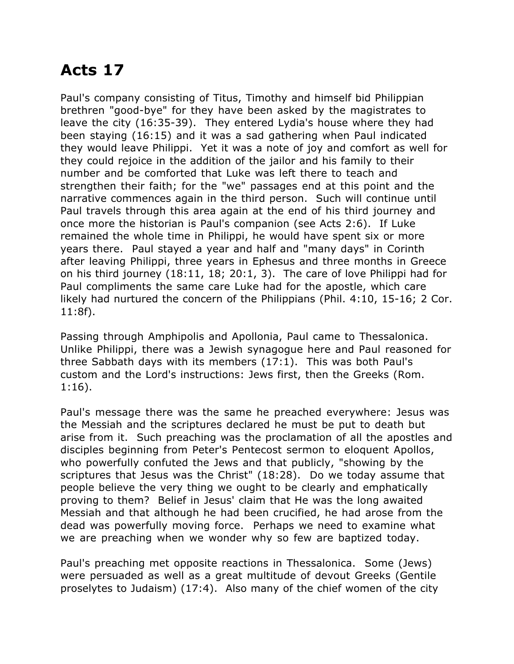## **Acts 17**

Paul's company consisting of Titus, Timothy and himself bid Philippian brethren "good-bye" for they have been asked by the magistrates to leave the city (16:35-39). They entered Lydia's house where they had been staying (16:15) and it was a sad gathering when Paul indicated they would leave Philippi. Yet it was a note of joy and comfort as well for they could rejoice in the addition of the jailor and his family to their number and be comforted that Luke was left there to teach and strengthen their faith; for the "we" passages end at this point and the narrative commences again in the third person. Such will continue until Paul travels through this area again at the end of his third journey and once more the historian is Paul's companion (see Acts 2:6). If Luke remained the whole time in Philippi, he would have spent six or more years there. Paul stayed a year and half and "many days" in Corinth after leaving Philippi, three years in Ephesus and three months in Greece on his third journey (18:11, 18; 20:1, 3). The care of love Philippi had for Paul compliments the same care Luke had for the apostle, which care likely had nurtured the concern of the Philippians (Phil. 4:10, 15-16; 2 Cor. 11:8f).

Passing through Amphipolis and Apollonia, Paul came to Thessalonica. Unlike Philippi, there was a Jewish synagogue here and Paul reasoned for three Sabbath days with its members (17:1). This was both Paul's custom and the Lord's instructions: Jews first, then the Greeks (Rom. 1:16).

Paul's message there was the same he preached everywhere: Jesus was the Messiah and the scriptures declared he must be put to death but arise from it. Such preaching was the proclamation of all the apostles and disciples beginning from Peter's Pentecost sermon to eloquent Apollos, who powerfully confuted the Jews and that publicly, "showing by the scriptures that Jesus was the Christ" (18:28). Do we today assume that people believe the very thing we ought to be clearly and emphatically proving to them? Belief in Jesus' claim that He was the long awaited Messiah and that although he had been crucified, he had arose from the dead was powerfully moving force. Perhaps we need to examine what we are preaching when we wonder why so few are baptized today.

Paul's preaching met opposite reactions in Thessalonica. Some (Jews) were persuaded as well as a great multitude of devout Greeks (Gentile proselytes to Judaism) (17:4). Also many of the chief women of the city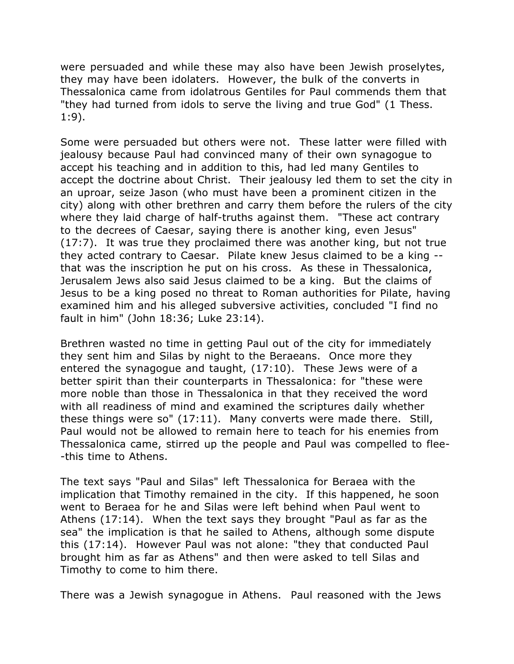were persuaded and while these may also have been Jewish proselytes, they may have been idolaters. However, the bulk of the converts in Thessalonica came from idolatrous Gentiles for Paul commends them that "they had turned from idols to serve the living and true God" (1 Thess. 1:9).

Some were persuaded but others were not. These latter were filled with jealousy because Paul had convinced many of their own synagogue to accept his teaching and in addition to this, had led many Gentiles to accept the doctrine about Christ. Their jealousy led them to set the city in an uproar, seize Jason (who must have been a prominent citizen in the city) along with other brethren and carry them before the rulers of the city where they laid charge of half-truths against them. "These act contrary to the decrees of Caesar, saying there is another king, even Jesus" (17:7). It was true they proclaimed there was another king, but not true they acted contrary to Caesar. Pilate knew Jesus claimed to be a king - that was the inscription he put on his cross. As these in Thessalonica, Jerusalem Jews also said Jesus claimed to be a king. But the claims of Jesus to be a king posed no threat to Roman authorities for Pilate, having examined him and his alleged subversive activities, concluded "I find no fault in him" (John 18:36; Luke 23:14).

Brethren wasted no time in getting Paul out of the city for immediately they sent him and Silas by night to the Beraeans. Once more they entered the synagogue and taught, (17:10). These Jews were of a better spirit than their counterparts in Thessalonica: for "these were more noble than those in Thessalonica in that they received the word with all readiness of mind and examined the scriptures daily whether these things were so" (17:11). Many converts were made there. Still, Paul would not be allowed to remain here to teach for his enemies from Thessalonica came, stirred up the people and Paul was compelled to flee- -this time to Athens.

The text says "Paul and Silas" left Thessalonica for Beraea with the implication that Timothy remained in the city. If this happened, he soon went to Beraea for he and Silas were left behind when Paul went to Athens (17:14). When the text says they brought "Paul as far as the sea" the implication is that he sailed to Athens, although some dispute this (17:14). However Paul was not alone: "they that conducted Paul brought him as far as Athens" and then were asked to tell Silas and Timothy to come to him there.

There was a Jewish synagogue in Athens. Paul reasoned with the Jews